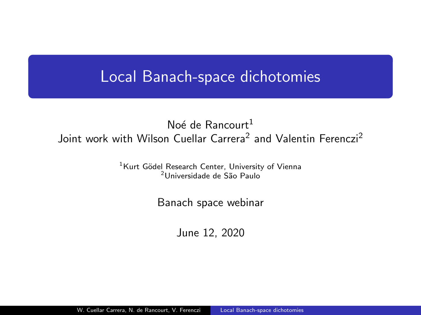## <span id="page-0-0"></span>Local Banach-space dichotomies

### No $\acute{\rm{e}}$  de Rancourt<sup>1</sup> Joint work with Wilson Cuellar Carrera<sup>2</sup> and Valentin Ferenczi<sup>2</sup>

<sup>1</sup>Kurt Gödel Research Center, University of Vienna <sup>2</sup>Universidade de São Paulo

Banach space webinar

June 12, 2020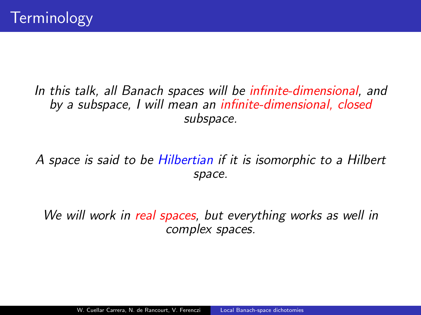### In this talk, all Banach spaces will be infinite-dimensional, and by a subspace, I will mean an infinite-dimensional, closed subspace.

## A space is said to be Hilbertian if it is isomorphic to a Hilbert space.

We will work in real spaces, but everything works as well in complex spaces.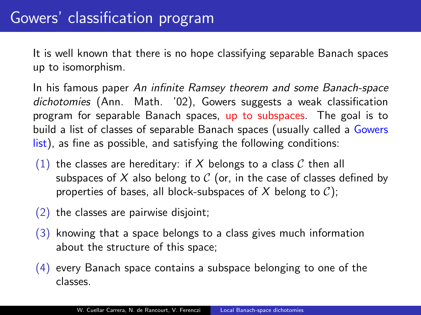It is well known that there is no hope classifying separable Banach spaces up to isomorphism.

In his famous paper An infinite Ramsey theorem and some Banach-space dichotomies (Ann. Math. '02), Gowers suggests a weak classification program for separable Banach spaces, up to subspaces. The goal is to build a list of classes of separable Banach spaces (usually called a Gowers list), as fine as possible, and satisfying the following conditions:

- (1) the classes are hereditary: if X belongs to a class C then all subspaces of X also belong to  $C$  (or, in the case of classes defined by properties of bases, all block-subspaces of X belong to  $C$ );
- (2) the classes are pairwise disjoint;
- (3) knowing that a space belongs to a class gives much information about the structure of this space;
- (4) every Banach space contains a subspace belonging to one of the classes.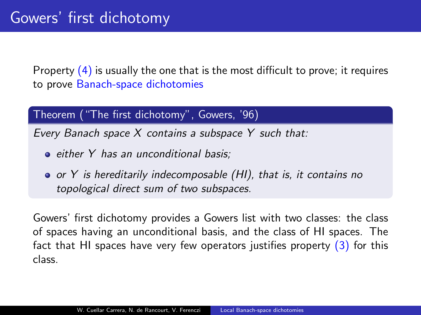Property  $(4)$  is usually the one that is the most difficult to prove; it requires to prove Banach-space dichotomies

#### Theorem ("The first dichotomy", Gowers, '96)

Every Banach space X contains a subspace Y such that:

- either Y has an unconditional basis;
- or Y is hereditarily indecomposable (HI), that is, it contains no topological direct sum of two subspaces.

Gowers' first dichotomy provides a Gowers list with two classes: the class of spaces having an unconditional basis, and the class of HI spaces. The fact that HI spaces have very few operators justifies property  $(3)$  for this class.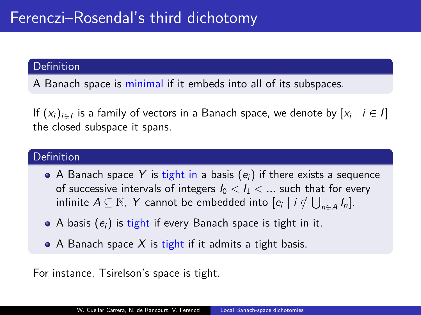#### Definition

A Banach space is minimal if it embeds into all of its subspaces.

If  $(x_i)_{i\in I}$  is a family of vectors in a Banach space, we denote by  $[x_i\mid i\in I]$ the closed subspace it spans.

#### Definition

- A Banach space Y is tight in a basis  $(e_i)$  if there exists a sequence of successive intervals of integers  $I_0 < I_1 < ...$  such that for every infinite  $A \subseteq \mathbb{N}$ ,  $Y$  cannot be embedded into  $[e_i \mid i \notin \bigcup_{n \in A} I_n].$
- $\bullet$  A basis  $(e_i)$  is tight if every Banach space is tight in it.
- A Banach space  $X$  is tight if it admits a tight basis.

For instance, Tsirelson's space is tight.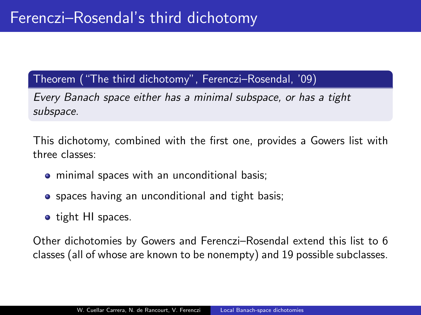### Theorem ("The third dichotomy", Ferenczi–Rosendal, '09)

Every Banach space either has a minimal subspace, or has a tight subspace.

This dichotomy, combined with the first one, provides a Gowers list with three classes:

- minimal spaces with an unconditional basis;
- spaces having an unconditional and tight basis;
- tight HI spaces.

Other dichotomies by Gowers and Ferenczi–Rosendal extend this list to 6 classes (all of whose are known to be nonempty) and 19 possible subclasses.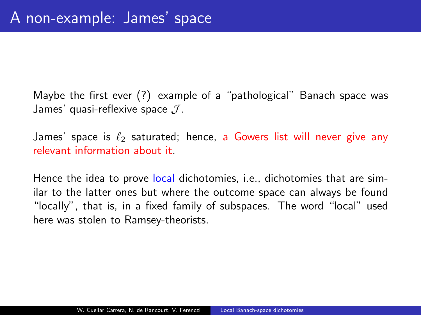Maybe the first ever (?) example of a "pathological" Banach space was James' quasi-reflexive space  $J$ .

James' space is  $\ell_2$  saturated; hence, a Gowers list will never give any relevant information about it.

Hence the idea to prove local dichotomies, i.e., dichotomies that are similar to the latter ones but where the outcome space can always be found "locally", that is, in a fixed family of subspaces. The word "local" used here was stolen to Ramsey-theorists.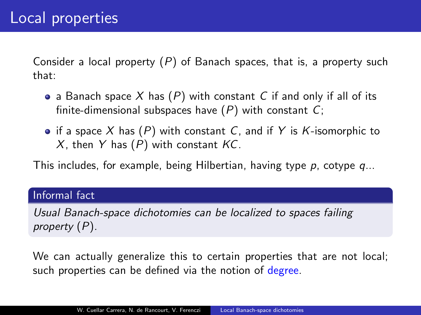Consider a local property  $(P)$  of Banach spaces, that is, a property such that:

- a Banach space X has  $(P)$  with constant C if and only if all of its finite-dimensional subspaces have  $(P)$  with constant  $C$ ;
- if a space X has  $(P)$  with constant C, and if Y is K-isomorphic to X, then Y has  $(P)$  with constant  $KC$ .

This includes, for example, being Hilbertian, having type  $p$ , cotype  $q...$ 

#### Informal fact

Usual Banach-space dichotomies can be localized to spaces failing property (P).

We can actually generalize this to certain properties that are not local; such properties can be defined via the notion of degree.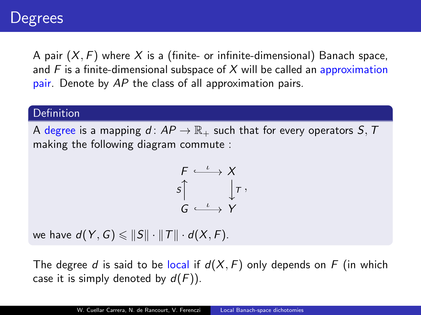A pair  $(X, F)$  where X is a (finite- or infinite-dimensional) Banach space, and  $F$  is a finite-dimensional subspace of  $X$  will be called an approximation pair. Denote by AP the class of all approximation pairs.

#### **Definition**

A degree is a mapping  $d: AP \to \mathbb{R}_+$  such that for every operators  $S, T$ making the following diagram commute :

$$
\begin{array}{ccc}\nF & \xrightarrow{\iota} & X \\
S & & \downarrow^T, \\
G & \xrightarrow{\iota} & Y\n\end{array}
$$

we have  $d(Y, G) \leq \|S\| \cdot \|T\| \cdot d(X, F)$ .

The degree d is said to be local if  $d(X, F)$  only depends on F (in which case it is simply denoted by  $d(F)$ ).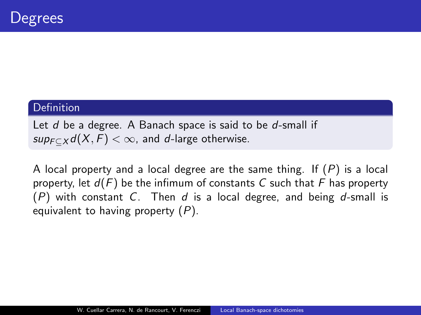#### Definition

Let d be a degree. A Banach space is said to be d-small if  $sup_{F\subset X} d(X, F) < \infty$ , and d-large otherwise.

A local property and a local degree are the same thing. If  $(P)$  is a local property, let  $d(F)$  be the infimum of constants C such that F has property  $(P)$  with constant C. Then d is a local degree, and being d-small is equivalent to having property  $(P)$ .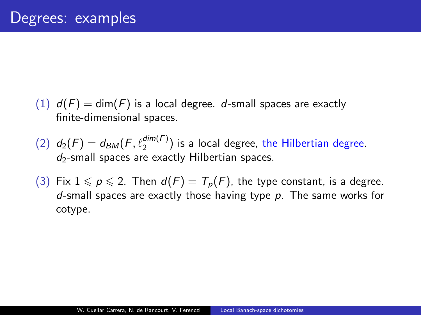- $(1)$   $d(F) = dim(F)$  is a local degree. d-small spaces are exactly finite-dimensional spaces.
- (2)  $d_2(F) = d_{BM}(F,\ell_2^{dim(F)})$  is a local degree, the Hilbertian degree.  $d_2$ -small spaces are exactly Hilbertian spaces.
- (3) Fix  $1 \leqslant p \leqslant 2$ . Then  $d(F) = T_p(F)$ , the type constant, is a degree. d-small spaces are exactly those having type  $p$ . The same works for cotype.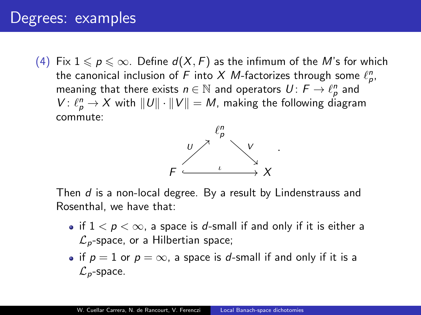## Degrees: examples

(4) Fix  $1 \leqslant p \leqslant \infty$ . Define  $d(X, F)$  as the infimum of the M's for which the canonical inclusion of  $F$  into  $X$   $M$ -factorizes through some  $\ell_p^n$ , meaning that there exists  $n \in \mathbb{N}$  and operators  $U \colon \mathit{F} \to \ell_{\rho}^n$  and  $V: \ell_p^n \to X$  with  $||U|| \cdot ||V|| = M$ , making the following diagram commute:



Then d is a non-local degree. By a result by Lindenstrauss and Rosenthal, we have that:

- if  $1 < p < \infty$ , a space is d-small if and only if it is either a  $\mathcal{L}_p$ -space, or a Hilbertian space;
- if  $p = 1$  or  $p = \infty$ , a space is d-small if and only if it is a  $\mathcal{L}_p$ -space.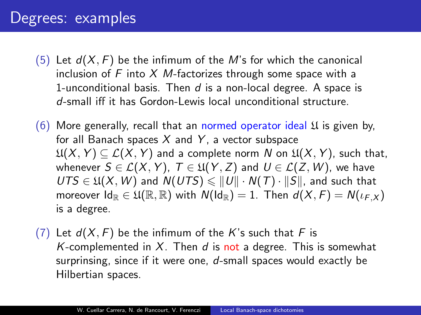## Degrees: examples

- (5) Let  $d(X, F)$  be the infimum of the M's for which the canonical inclusion of  $F$  into  $X$  *M*-factorizes through some space with a 1-unconditional basis. Then  $d$  is a non-local degree. A space is d-small iff it has Gordon-Lewis local unconditional structure.
- (6) More generally, recall that an normed operator ideal  $\mathfrak U$  is given by, for all Banach spaces  $X$  and  $Y$ , a vector subspace  $\mathfrak{U}(X, Y) \subseteq \mathcal{L}(X, Y)$  and a complete norm N on  $\mathfrak{U}(X, Y)$ , such that, whenever  $S \in \mathcal{L}(X, Y)$ ,  $T \in \mathfrak{U}(Y, Z)$  and  $U \in \mathcal{L}(Z, W)$ , we have  $UTS \in \mathfrak{U}(X, W)$  and  $N(UTS) \leq ||U|| \cdot N(T) \cdot ||S||$ , and such that moreover  $Id_{\mathbb{R}} \in \mathfrak{U}(\mathbb{R},\mathbb{R})$  with  $N(Id_{\mathbb{R}}) = 1$ . Then  $d(X,F) = N(\iota_F, \chi)$ is a degree.
- (7) Let  $d(X, F)$  be the infimum of the K's such that F is K-complemented in  $X$ . Then  $d$  is not a degree. This is somewhat surprinsing, since if it were one,  $d$ -small spaces would exactly be Hilbertian spaces.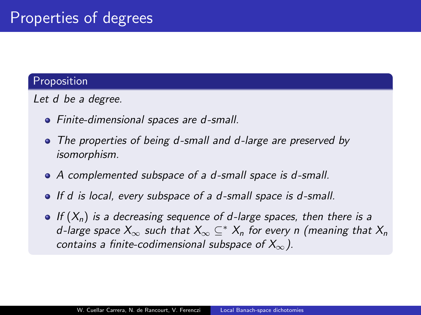#### Proposition

Let d be a degree.

- Finite-dimensional spaces are d-small.
- The properties of being d-small and d-large are preserved by isomorphism.
- A complemented subspace of a d-small space is d-small.
- If d is local, every subspace of a d-small space is d-small.
- $\bullet$  If  $(X_n)$  is a decreasing sequence of d-large spaces, then there is a d-large space  $X_{\infty}$  such that  $X_{\infty} \subseteq^* X_n$  for every n (meaning that  $X_n$ contains a finite-codimensional subspace of  $X_{\infty}$ ).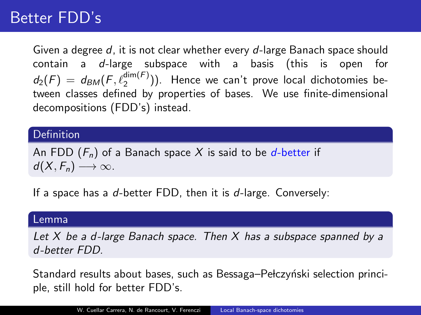# Better FDD's

Given a degree d, it is not clear whether every d-large Banach space should contain a d-large subspace with a basis (this is open for  $d_2(F) = d_{BM}(F,\ell_2^{\dim(F)}))$ . Hence we can't prove local dichotomies between classes defined by properties of bases. We use finite-dimensional decompositions (FDD's) instead.

#### Definition

An FDD  $(F_n)$  of a Banach space X is said to be d-better if  $d(X, F_n) \longrightarrow \infty$ .

If a space has a  $d$ -better FDD, then it is  $d$ -large. Conversely:

#### Lemma

Let X be a d-large Banach space. Then X has a subspace spanned by a d-better FDD.

Standard results about bases, such as Bessaga–Pełczyński selection principle, still hold for better FDD's.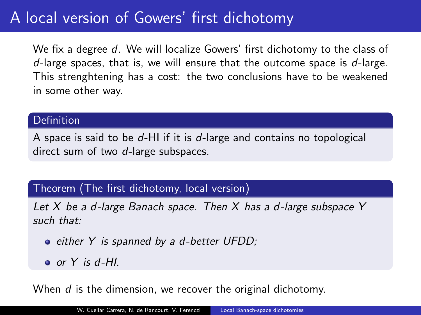# A local version of Gowers' first dichotomy

We fix a degree d. We will localize Gowers' first dichotomy to the class of  $d$ -large spaces, that is, we will ensure that the outcome space is  $d$ -large. This strenghtening has a cost: the two conclusions have to be weakened in some other way.

#### Definition

A space is said to be  $d$ -HI if it is  $d$ -large and contains no topological direct sum of two d-large subspaces.

#### Theorem (The first dichotomy, local version)

Let  $X$  be a d-large Banach space. Then  $X$  has a d-large subspace  $Y$ such that:

- either Y is spanned by a d-better UFDD;
- $\bullet$  or Y is d-HI.

When  $d$  is the dimension, we recover the original dichotomy.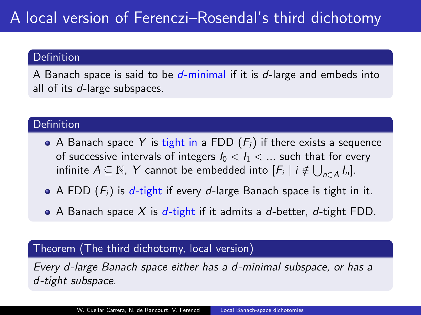#### Definition

A Banach space is said to be  $d$ -minimal if it is  $d$ -large and embeds into all of its d-large subspaces.

#### **Definition**

- A Banach space Y is tight in a FDD  $(F_i)$  if there exists a sequence of successive intervals of integers  $I_0 < I_1 < ...$  such that for every infinite  $A \subseteq \mathbb{N}$ , Y cannot be embedded into  $[F_i \mid i \notin \bigcup_{n \in A} I_n].$
- A FDD  $(F_i)$  is d-tight if every d-large Banach space is tight in it.
- A Banach space  $X$  is d-tight if it admits a d-better, d-tight FDD.

#### Theorem (The third dichotomy, local version)

Every d-large Banach space either has a d-minimal subspace, or has a d-tight subspace.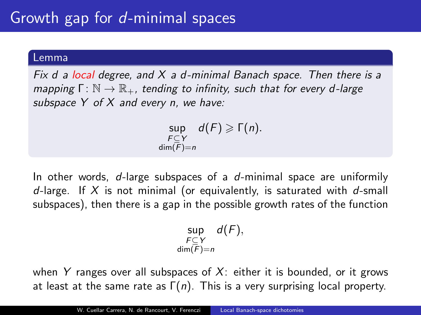#### Lemma

Fix d a local degree, and  $X$  a d-minimal Banach space. Then there is a mapping  $\Gamma: \mathbb{N} \to \mathbb{R}_+$ , tending to infinity, such that for every d-large subspace  $Y$  of  $X$  and every n, we have:

> $\sup_{F \subseteq Y} d(F) \geqslant \Gamma(n).$  $\dim(\overline{F})=n$

In other words,  $d$ -large subspaces of a  $d$ -minimal space are uniformily d-large. If  $X$  is not minimal (or equivalently, is saturated with d-small subspaces), then there is a gap in the possible growth rates of the function

$$
\sup_{\substack{F\subseteq Y\\ \dim(F)=n}}d(F),
$$

when Y ranges over all subspaces of  $X$ : either it is bounded, or it grows at least at the same rate as  $Γ(n)$ . This is a very surprising local property.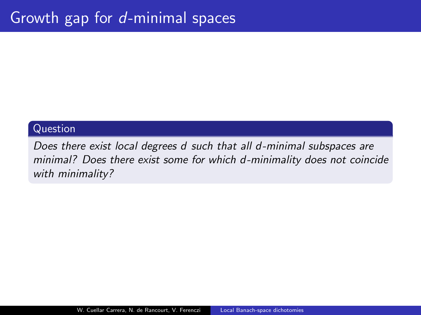#### Question

Does there exist local degrees d such that all d-minimal subspaces are minimal? Does there exist some for which d-minimality does not coincide with minimality?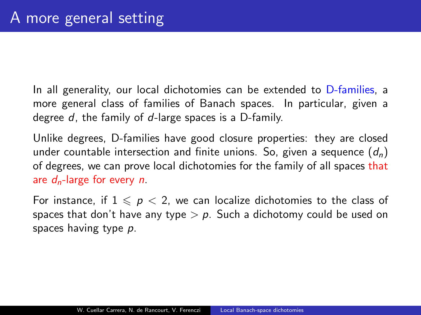In all generality, our local dichotomies can be extended to D-families, a more general class of families of Banach spaces. In particular, given a degree d, the family of d-large spaces is a D-family.

Unlike degrees, D-families have good closure properties: they are closed under countable intersection and finite unions. So, given a sequence  $(d_n)$ of degrees, we can prove local dichotomies for the family of all spaces that are  $d_n$ -large for every n.

For instance, if  $1 \leqslant p < 2$ , we can localize dichotomies to the class of spaces that don't have any type  $> p$ . Such a dichotomy could be used on spaces having type p.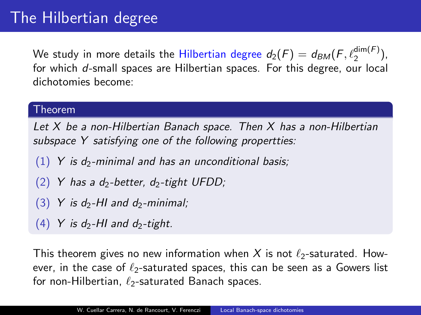We study in more details the Hilbertian degree  $d_2(F) = d_{BM}(F,\ell_2^{\dim(F)}),$ for which d-small spaces are Hilbertian spaces. For this degree, our local dichotomies become:

#### Theorem

Let  $X$  be a non-Hilbertian Banach space. Then  $X$  has a non-Hilbertian subspace Y satisfying one of the following propertties:

- $(1)$  Y is d<sub>2</sub>-minimal and has an unconditional basis;
- (2) Y has a d<sub>2</sub>-better, d<sub>2</sub>-tight UFDD;
- $(3)$  Y is d<sub>2</sub>-HI and d<sub>2</sub>-minimal;
- $(4)$  Y is d<sub>2</sub>-HI and d<sub>2</sub>-tight.

This theorem gives no new information when X is not  $\ell_2$ -saturated. However, in the case of  $\ell_2$ -saturated spaces, this can be seen as a Gowers list for non-Hilbertian,  $\ell_2$ -saturated Banach spaces.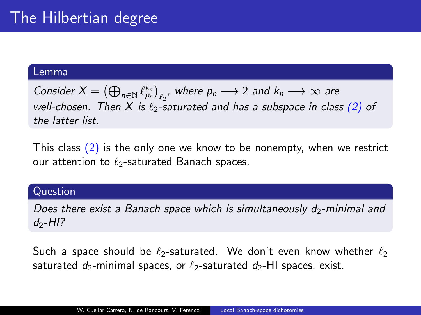#### Lemma

Consider  $X = (\bigoplus_{n \in \mathbb{N}} \ell_{p_n}^{k_n})_{\ell_2}$ , where  $p_n \longrightarrow 2$  and  $k_n \longrightarrow \infty$  are well-chosen. Then X is  $\ell_2$ -saturated and has a subspace in class (2) of the latter list.

This class (2) is the only one we know to be nonempty, when we restrict our attention to  $\ell_2$ -saturated Banach spaces.

#### Question

Does there exist a Banach space which is simultaneously  $d_2$ -minimal and  $d_2$ -HI?

Such a space should be  $\ell_2$ -saturated. We don't even know whether  $\ell_2$ saturated  $d_2$ -minimal spaces, or  $\ell_2$ -saturated  $d_2$ -HI spaces, exist.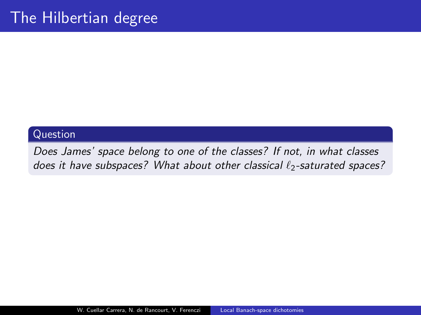#### Question

Does James' space belong to one of the classes? If not, in what classes does it have subspaces? What about other classical  $\ell_2$ -saturated spaces?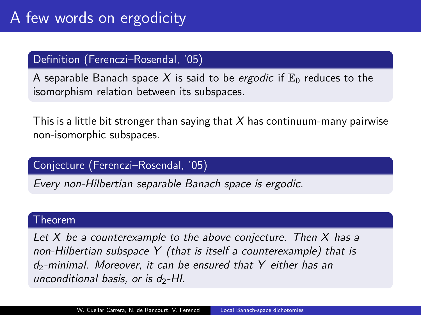#### Definition (Ferenczi–Rosendal, '05)

A separable Banach space X is said to be *ergodic* if  $\mathbb{E}_0$  reduces to the isomorphism relation between its subspaces.

This is a little bit stronger than saying that X has continuum-many pairwise non-isomorphic subspaces.

#### Conjecture (Ferenczi–Rosendal, '05)

Every non-Hilbertian separable Banach space is ergodic.

#### Theorem

Let  $X$  be a counterexample to the above conjecture. Then  $X$  has a non-Hilbertian subspace Y (that is itself a counterexample) that is  $d_2$ -minimal. Moreover, it can be ensured that Y either has an unconditional basis, or is  $d_2$ -HI.